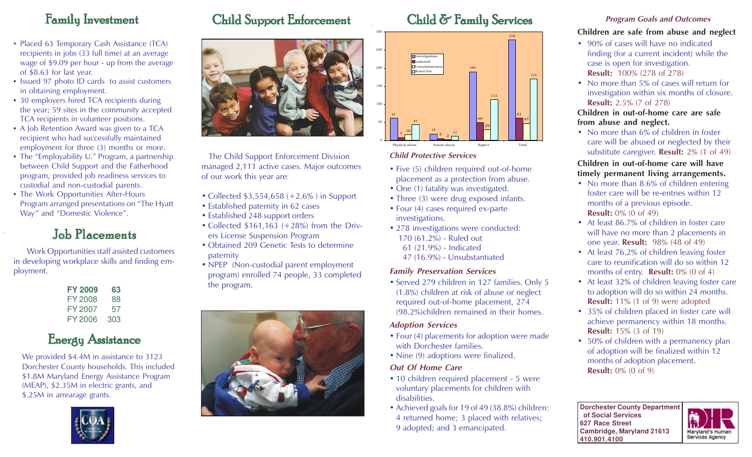### Family Investment

- Placed 63 Temporary Cash Assistance (TCA) recipients in jobs (33 full time) at an average wage of \$9.09 per hour - up from the average of \$8.63 for last year.
- Issued 97 photo ID cards to assist customers in obtaining employment.
- 30 employers hired TCA recipients during the year; 59 sites in the community accepted TCA recipients in volunteer positions.
- A Job Retention Award was given to a TCA recipient who had successfully maintained employment for three (3) months or more.
- The "Employability U." Program, a partnership between Child Support and the Fatherhood program, provided job readiness services to custodial and non-custodial parents.
- The Work Opportunities After-Hours Program arranged presentations on "The Hyatt Way" and "Domestic Violence".

### Job Placements

Work Opportunities staff assisted customers in developing workplace skills and finding employment.

| <b>FY 2009</b> | 63  |
|----------------|-----|
| FY 2008        | 88  |
| FY 2007        | 57  |
| FY 2006        | 303 |

### Energy Assistance

We provided \$4.4M in assistance to 3123 Dorchester County households. This included \$1.8M Maryland Energy Assistance Program (MEAP), \$2.35M in electric grants, and \$.25M in arrearage grants.



## Child Support Enforcement



The Child Support Enforcement Division managed 2,111 active cases. Major outcomes of our work this year are:

- Collected \$3,554,658 (+2.6%) in Support
- Established paternity in 62 cases
- Established 248 support orders
- Collected  $$161,163$  (+28%) from the Drivers License Suspension Program
- Obtained 209 Genetic Tests to determine paternity
- NPEP (Non-custodial parent employment program) enrolled 74 people, 33 completed the program.



### Child & Family Services Program Goals and Outcomes



#### Child Protective Services

- Five (5) children required out-of-home placement as a protection from abuse.
- One (1) fatality was investigated.
- Three (3) were drug exposed infants.
- Four (4) cases required ex-parte investigations.
- 278 investigations were conducted: 170 (61.2%) - Ruled out 61 (21.9%) - Indicated 47 (16.9%) - Unsubstantiated

#### Family Preservation Services

• Served 279 children in 127 families. Only 5 (1.8%) children at risk of abuse or neglect required out-of-home placement, 274 (98.2%)children remained in their homes.

#### Adoption Services

- Four (4) placements for adoption were made with Dorchester families.
- Nine (9) adoptions were finalized.

#### Out Of Home Care

- 10 children required placement 5 were voluntary placements for children with disabilities.
- Achieved goals for 19 of 49 (38.8%) children: 4 returned home; 3 placed with relatives; 9 adopted; and 3 emancipated.

### Children are safe from abuse and neglect

- 90% of cases will have no indicated finding (for a current incident) while the case is open for investigation. Result: 100% (278 of 278)
- No more than 5% of cases will return for investigation within six months of closure. Result: 2.5% (7 of 278)

#### Children in out-of-home care are safe from abuse and neglect.

• No more than 6% of children in foster care will be abused or neglected by their substitute caregiver. Result: 2% (1 of 49)

#### Children in out-of-home care will have timely permanent living arrangements.

- No more than 8.6% of children entering foster care will be re-entries within 12 months of a previous episode. Result: 0% (0 of 49)
- At least 86.7% of children in foster care will have no more than 2 placements in one year. Result: 98% (48 of 49)
- At least 76.2% of children leaving foster care to reunification will do so within 12 months of entry. Result: 0% (0 of 4)
- At least 32% of children leaving foster care to adoption will do so within 24 months. Result: 11% (1 of 9) were adopted
- 35% of children placed in foster care will achieve permanency within 18 months. Result: 15% (3 of 19)
- 50% of children with a permanency plan of adoption will be finalized within 12 months of adoption placement. Result: 0% (0 of 9)